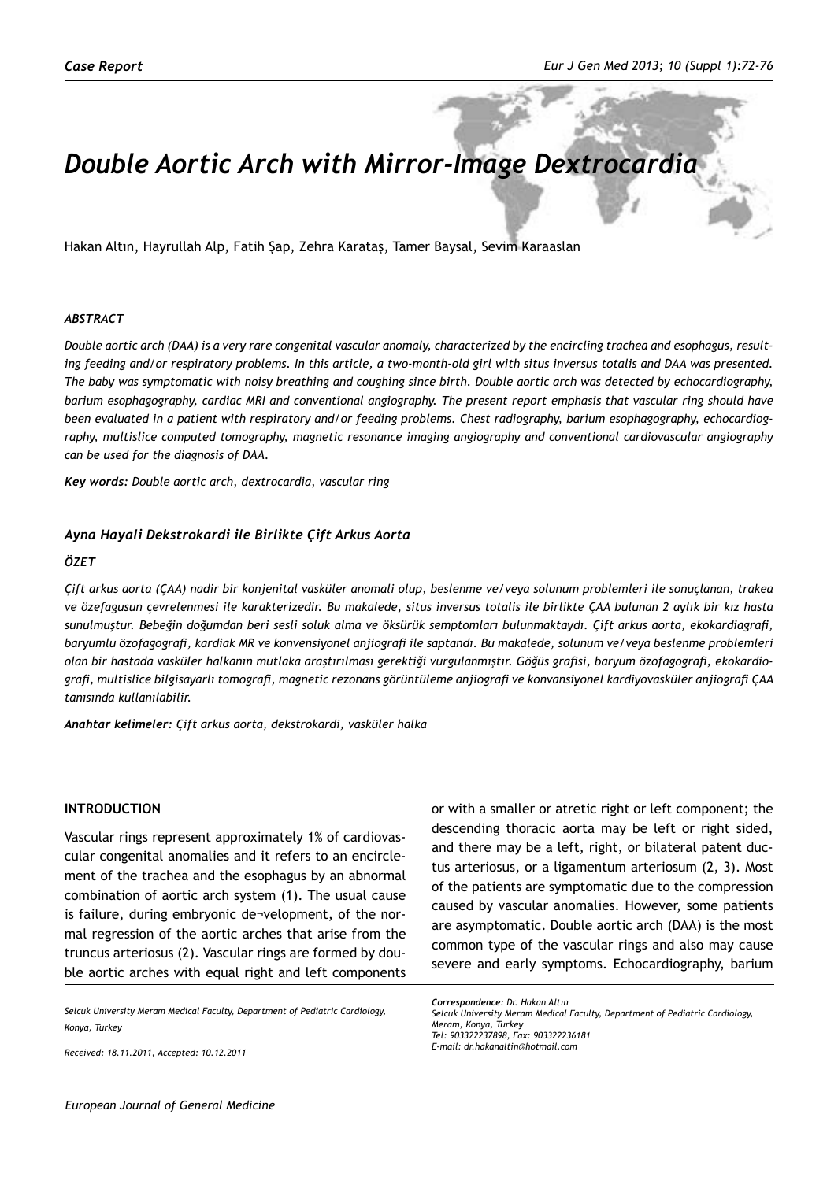# *Double Aortic Arch with Mirror-Image Dextrocardia*

Hakan Altın, Hayrullah Alp, Fatih Şap, Zehra Karataş, Tamer Baysal, Sevim Karaaslan

#### *ABSTRACT*

*Double aortic arch (DAA) is a very rare congenital vascular anomaly, characterized by the encircling trachea and esophagus, resulting feeding and/or respiratory problems. In this article, a two-month-old girl with situs inversus totalis and DAA was presented. The baby was symptomatic with noisy breathing and coughing since birth. Double aortic arch was detected by echocardiography, barium esophagography, cardiac MRI and conventional angiography. The present report emphasis that vascular ring should have been evaluated in a patient with respiratory and/or feeding problems. Chest radiography, barium esophagography, echocardiography, multislice computed tomography, magnetic resonance imaging angiography and conventional cardiovascular angiography can be used for the diagnosis of DAA.*

*Key words: Double aortic arch, dextrocardia, vascular ring*

#### *Ayna Hayali Dekstrokardi ile Birlikte Çift Arkus Aorta*

#### *ÖZET*

*Çift arkus aorta (ÇAA) nadir bir konjenital vasküler anomali olup, beslenme ve/veya solunum problemleri ile sonuçlanan, trakea ve özefagusun çevrelenmesi ile karakterizedir. Bu makalede, situs inversus totalis ile birlikte ÇAA bulunan 2 aylık bir kız hasta sunulmuştur. Bebeğin doğumdan beri sesli soluk alma ve öksürük semptomları bulunmaktaydı. Çift arkus aorta, ekokardiagrafi, baryumlu özofagografi, kardiak MR ve konvensiyonel anjiografi ile saptandı. Bu makalede, solunum ve/veya beslenme problemleri olan bir hastada vasküler halkanın mutlaka araştırılması gerektiği vurgulanmıştır. Göğüs grafisi, baryum özofagografi, ekokardiografi, multislice bilgisayarlı tomografi, magnetic rezonans görüntüleme anjiografi ve konvansiyonel kardiyovasküler anjiografi ÇAA tanısında kullanılabilir.* 

*Anahtar kelimeler: Çift arkus aorta, dekstrokardi, vasküler halka* 

## **Introduction**

Vascular rings represent approximately 1% of cardiovascular congenital anomalies and it refers to an encirclement of the trachea and the esophagus by an abnormal combination of aortic arch system (1). The usual cause is failure, during embryonic de¬velopment, of the normal regression of the aortic arches that arise from the truncus arteriosus (2). Vascular rings are formed by double aortic arches with equal right and left components

*Selcuk University Meram Medical Faculty, Department of Pediatric Cardiology, Konya, Turkey*

*Received: 18.11.2011, Accepted: 10.12.2011*

or with a smaller or atretic right or left component; the descending thoracic aorta may be left or right sided, and there may be a left, right, or bilateral patent ductus arteriosus, or a ligamentum arteriosum (2, 3). Most of the patients are symptomatic due to the compression caused by vascular anomalies. However, some patients are asymptomatic. Double aortic arch (DAA) is the most common type of the vascular rings and also may cause severe and early symptoms. Echocardiography, barium

*Correspondence: Dr. Hakan Altın Selcuk University Meram Medical Faculty, Department of Pediatric Cardiology, Meram, Konya, Turkey Tel: 903322237898, Fax: 903322236181 E-mail: dr.hakanaltin@hotmail.com*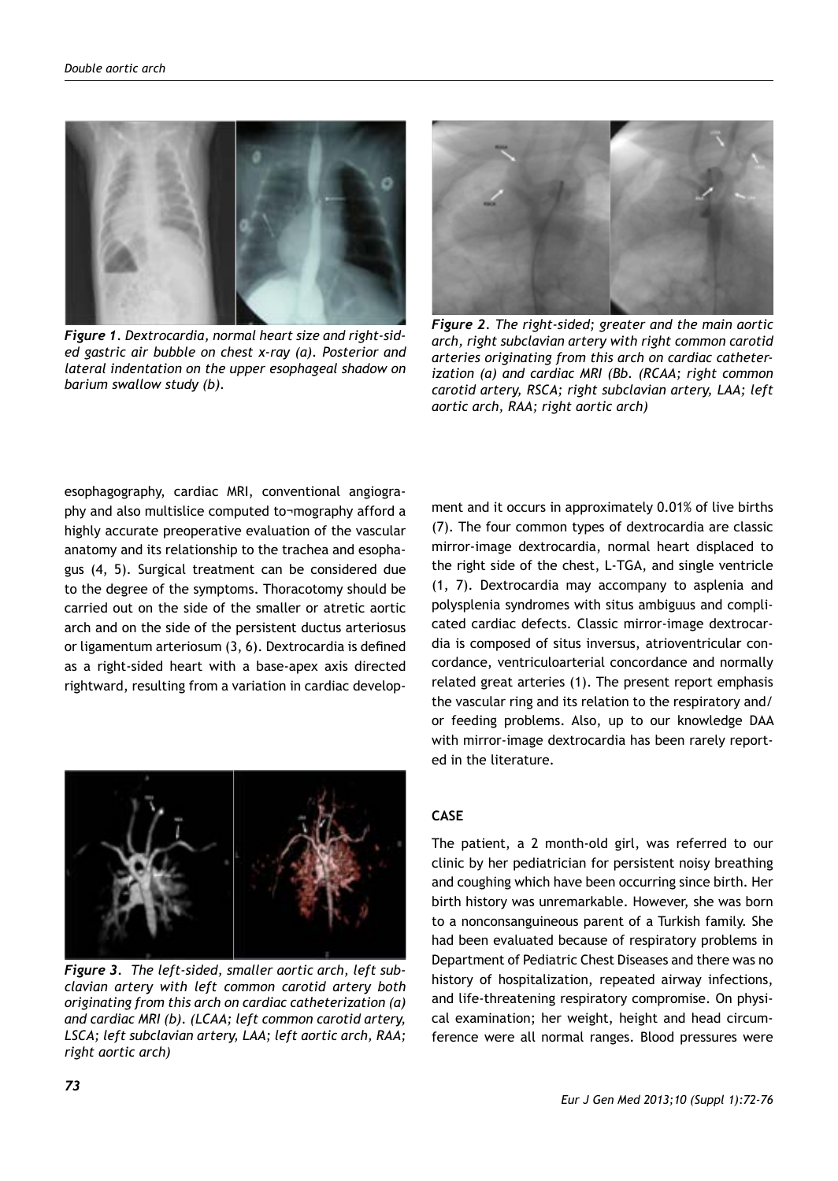

*Figure 1. Dextrocardia, normal heart size and right-sided gastric air bubble on chest x-ray (a). Posterior and lateral indentation on the upper esophageal shadow on barium swallow study (b).*



*Figure 2. The right-sided; greater and the main aortic arch, right subclavian artery with right common carotid arteries originating from this arch on cardiac catheterization (a) and cardiac MRI (Bb. (RCAA; right common carotid artery, RSCA; right subclavian artery, LAA; left aortic arch, RAA; right aortic arch)*

esophagography, cardiac MRI, conventional angiography and also multislice computed to¬mography afford a highly accurate preoperative evaluation of the vascular anatomy and its relationship to the trachea and esophagus (4, 5). Surgical treatment can be considered due to the degree of the symptoms. Thoracotomy should be carried out on the side of the smaller or atretic aortic arch and on the side of the persistent ductus arteriosus or ligamentum arteriosum (3, 6). Dextrocardia is defined as a right-sided heart with a base-apex axis directed rightward, resulting from a variation in cardiac develop-



*Figure 3. The left-sided, smaller aortic arch, left subclavian artery with left common carotid artery both originating from this arch on cardiac catheterization (a) and cardiac MRI (b). (LCAA; left common carotid artery, LSCA; left subclavian artery, LAA; left aortic arch, RAA; right aortic arch)*

ment and it occurs in approximately 0.01% of live births (7). The four common types of dextrocardia are classic mirror-image dextrocardia, normal heart displaced to the right side of the chest, L-TGA, and single ventricle (1, 7). Dextrocardia may accompany to asplenia and polysplenia syndromes with situs ambiguus and complicated cardiac defects. Classic mirror-image dextrocardia is composed of situs inversus, atrioventricular concordance, ventriculoarterial concordance and normally related great arteries (1). The present report emphasis the vascular ring and its relation to the respiratory and/ or feeding problems. Also, up to our knowledge DAA with mirror-image dextrocardia has been rarely reported in the literature.

## **CASE**

The patient, a 2 month-old girl, was referred to our clinic by her pediatrician for persistent noisy breathing and coughing which have been occurring since birth. Her birth history was unremarkable. However, she was born to a nonconsanguineous parent of a Turkish family. She had been evaluated because of respiratory problems in Department of Pediatric Chest Diseases and there was no history of hospitalization, repeated airway infections, and life-threatening respiratory compromise. On physical examination; her weight, height and head circumference were all normal ranges. Blood pressures were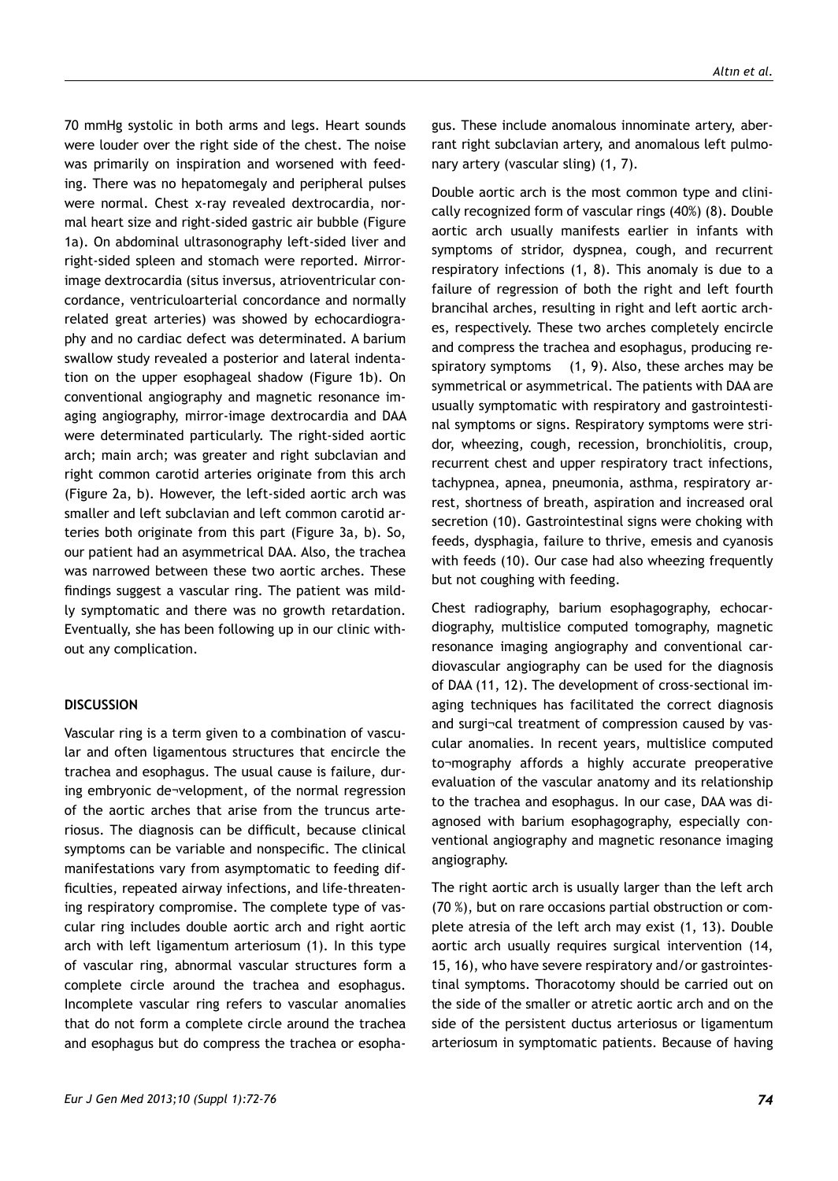70 mmHg systolic in both arms and legs. Heart sounds were louder over the right side of the chest. The noise was primarily on inspiration and worsened with feeding. There was no hepatomegaly and peripheral pulses were normal. Chest x-ray revealed dextrocardia, normal heart size and right-sided gastric air bubble (Figure 1a). On abdominal ultrasonography left-sided liver and right-sided spleen and stomach were reported. Mirrorimage dextrocardia (situs inversus, atrioventricular concordance, ventriculoarterial concordance and normally related great arteries) was showed by echocardiography and no cardiac defect was determinated. A barium swallow study revealed a posterior and lateral indentation on the upper esophageal shadow (Figure 1b). On conventional angiography and magnetic resonance imaging angiography, mirror-image dextrocardia and DAA were determinated particularly. The right-sided aortic arch; main arch; was greater and right subclavian and right common carotid arteries originate from this arch (Figure 2a, b). However, the left-sided aortic arch was smaller and left subclavian and left common carotid arteries both originate from this part (Figure 3a, b). So, our patient had an asymmetrical DAA. Also, the trachea was narrowed between these two aortic arches. These findings suggest a vascular ring. The patient was mildly symptomatic and there was no growth retardation. Eventually, she has been following up in our clinic without any complication.

## **DISCUSSION**

Vascular ring is a term given to a combination of vascular and often ligamentous structures that encircle the trachea and esophagus. The usual cause is failure, during embryonic de¬velopment, of the normal regression of the aortic arches that arise from the truncus arteriosus. The diagnosis can be difficult, because clinical symptoms can be variable and nonspecific. The clinical manifestations vary from asymptomatic to feeding difficulties, repeated airway infections, and life-threatening respiratory compromise. The complete type of vascular ring includes double aortic arch and right aortic arch with left ligamentum arteriosum (1). In this type of vascular ring, abnormal vascular structures form a complete circle around the trachea and esophagus. Incomplete vascular ring refers to vascular anomalies that do not form a complete circle around the trachea and esophagus but do compress the trachea or esopha-

*Eur J Gen Med 2013;10 (Suppl 1):72-76 74*

gus. These include anomalous innominate artery, aberrant right subclavian artery, and anomalous left pulmonary artery (vascular sling) (1, 7).

Double aortic arch is the most common type and clinically recognized form of vascular rings (40%) (8). Double aortic arch usually manifests earlier in infants with symptoms of stridor, dyspnea, cough, and recurrent respiratory infections (1, 8). This anomaly is due to a failure of regression of both the right and left fourth brancihal arches, resulting in right and left aortic arches, respectively. These two arches completely encircle and compress the trachea and esophagus, producing respiratory symptoms (1, 9). Also, these arches may be symmetrical or asymmetrical. The patients with DAA are usually symptomatic with respiratory and gastrointestinal symptoms or signs. Respiratory symptoms were stridor, wheezing, cough, recession, bronchiolitis, croup, recurrent chest and upper respiratory tract infections, tachypnea, apnea, pneumonia, asthma, respiratory arrest, shortness of breath, aspiration and increased oral secretion (10). Gastrointestinal signs were choking with feeds, dysphagia, failure to thrive, emesis and cyanosis with feeds (10). Our case had also wheezing frequently but not coughing with feeding.

Chest radiography, barium esophagography, echocardiography, multislice computed tomography, magnetic resonance imaging angiography and conventional cardiovascular angiography can be used for the diagnosis of DAA (11, 12). The development of cross-sectional imaging techniques has facilitated the correct diagnosis and surgi¬cal treatment of compression caused by vascular anomalies. In recent years, multislice computed to¬mography affords a highly accurate preoperative evaluation of the vascular anatomy and its relationship to the trachea and esophagus. In our case, DAA was diagnosed with barium esophagography, especially conventional angiography and magnetic resonance imaging angiography.

The right aortic arch is usually larger than the left arch (70 %), but on rare occasions partial obstruction or complete atresia of the left arch may exist (1, 13). Double aortic arch usually requires surgical intervention (14, 15, 16), who have severe respiratory and/or gastrointestinal symptoms. Thoracotomy should be carried out on the side of the smaller or atretic aortic arch and on the side of the persistent ductus arteriosus or ligamentum arteriosum in symptomatic patients. Because of having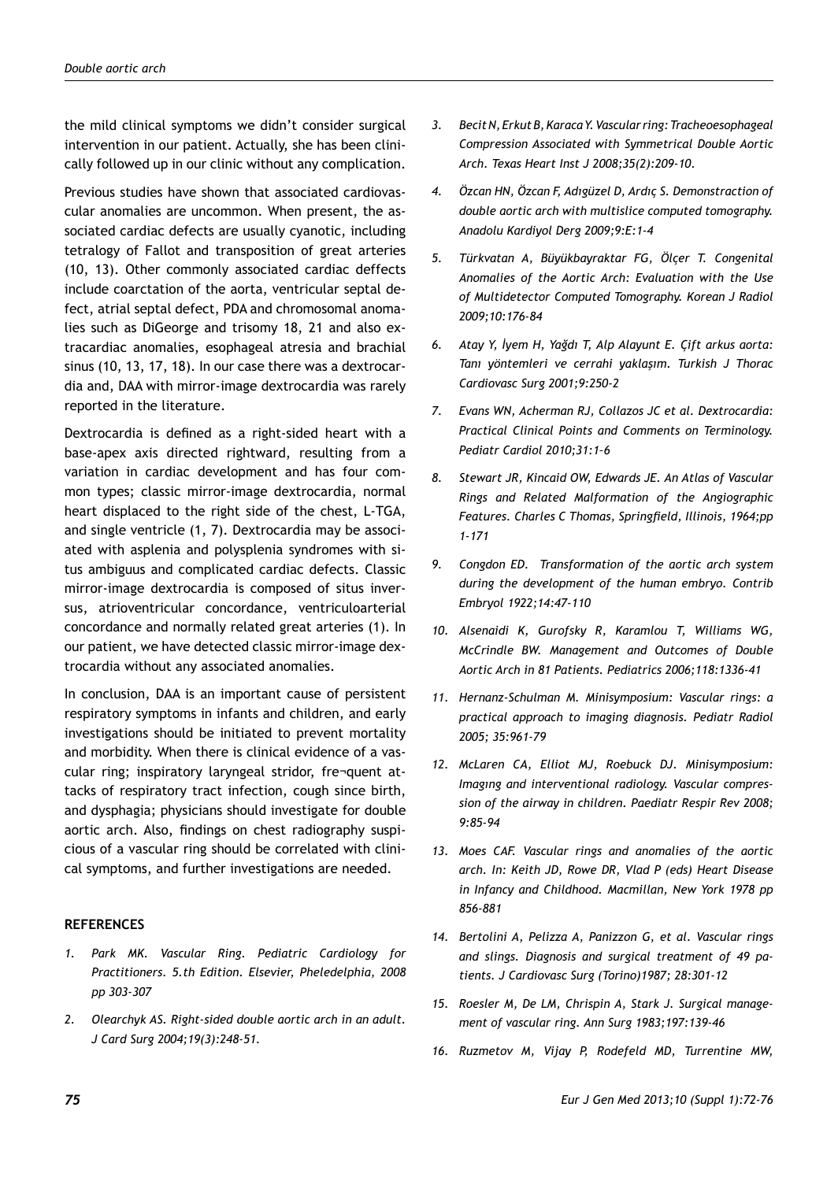the mild clinical symptoms we didn't consider surgical intervention in our patient. Actually, she has been clinically followed up in our clinic without any complication.

Previous studies have shown that associated cardiovascular anomalies are uncommon. When present, the associated cardiac defects are usually cyanotic, including tetralogy of Fallot and transposition of great arteries (10, 13). Other commonly associated cardiac deffects include coarctation of the aorta, ventricular septal defect, atrial septal defect, PDA and chromosomal anomalies such as DiGeorge and trisomy 18, 21 and also extracardiac anomalies, esophageal atresia and brachial sinus (10, 13, 17, 18). In our case there was a dextrocardia and, DAA with mirror-image dextrocardia was rarely reported in the literature.

Dextrocardia is defined as a right-sided heart with a base-apex axis directed rightward, resulting from a variation in cardiac development and has four common types; classic mirror-image dextrocardia, normal heart displaced to the right side of the chest, L-TGA, and single ventricle (1, 7). Dextrocardia may be associated with asplenia and polysplenia syndromes with situs ambiguus and complicated cardiac defects. Classic mirror-image dextrocardia is composed of situs inversus, atrioventricular concordance, ventriculoarterial concordance and normally related great arteries (1). In our patient, we have detected classic mirror-image dextrocardia without any associated anomalies.

In conclusion, DAA is an important cause of persistent respiratory symptoms in infants and children, and early investigations should be initiated to prevent mortality and morbidity. When there is clinical evidence of a vascular ring; inspiratory laryngeal stridor, fre¬quent attacks of respiratory tract infection, cough since birth, and dysphagia; physicians should investigate for double aortic arch. Also, findings on chest radiography suspicious of a vascular ring should be correlated with clinical symptoms, and further investigations are needed.

## **REFERENCES**

- *1. Park MK. Vascular Ring. Pediatric Cardiology for Practitioners. 5.th Edition. Elsevier, Pheledelphia, 2008 pp 303-307*
- *2. Olearchyk AS. Right-sided double aortic arch in an adult. J Card Surg 2004;19(3):248-51.*
- *3. Becit N, Erkut B, Karaca Y. Vascular ring: Tracheoesophageal Compression Associated with Symmetrical Double Aortic Arch. Texas Heart Inst J 2008;35(2):209-10.*
- *4. Özcan HN, Özcan F, Adıgüzel D, Ardıç S. Demonstraction of double aortic arch with multislice computed tomography. Anadolu Kardiyol Derg 2009;9:E:1-4*
- *5. Türkvatan A, Büyükbayraktar FG, Ölçer T. Congenital Anomalies of the Aortic Arch: Evaluation with the Use of Multidetector Computed Tomography. Korean J Radiol 2009;10:176-84*
- *6. Atay Y, İyem H, Yağdı T, Alp Alayunt E. Çift arkus aorta: Tanı yöntemleri ve cerrahi yaklaşım. Turkish J Thorac Cardiovasc Surg 2001;9:250-2*
- *7. Evans WN, Acherman RJ, Collazos JC et al. Dextrocardia: Practical Clinical Points and Comments on Terminology. Pediatr Cardiol 2010;31:1–6*
- *8. Stewart JR, Kincaid OW, Edwards JE. An Atlas of Vascular Rings and Related Malformation of the Angiographic Features. Charles C Thomas, Springfield, Illinois, 1964;pp 1-171*
- *9. Congdon ED. Transformation of the aortic arch system during the development of the human embryo. Contrib Embryol 1922;14:47-110*
- *10. Alsenaidi K, Gurofsky R, Karamlou T, Williams WG, McCrindle BW. Management and Outcomes of Double Aortic Arch in 81 Patients. Pediatrics 2006;118:1336-41*
- *11. Hernanz-Schulman M. Minisymposium: Vascular rings: a practical approach to imaging diagnosis. Pediatr Radiol 2005; 35:961-79*
- *12. McLaren CA, Elliot MJ, Roebuck DJ. Minisymposium: Imagıng and interventional radiology. Vascular compression of the airway in children. Paediatr Respir Rev 2008; 9:85-94*
- *13. Moes CAF. Vascular rings and anomalies of the aortic arch. In: Keith JD, Rowe DR, Vlad P (eds) Heart Disease in Infancy and Childhood. Macmillan, New York 1978 pp 856-881*
- *14. Bertolini A, Pelizza A, Panizzon G, et al. Vascular rings and slings. Diagnosis and surgical treatment of 49 patients. J Cardiovasc Surg (Torino)1987; 28:301-12*
- *15. Roesler M, De LM, Chrispin A, Stark J. Surgical management of vascular ring. Ann Surg 1983;197:139-46*
- *16. Ruzmetov M, Vijay P, Rodefeld MD, Turrentine MW,*